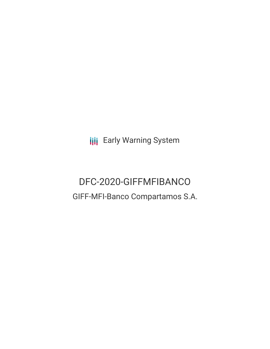**III** Early Warning System

# DFC-2020-GIFFMFIBANCO GIFF-MFI-Banco Compartamos S.A.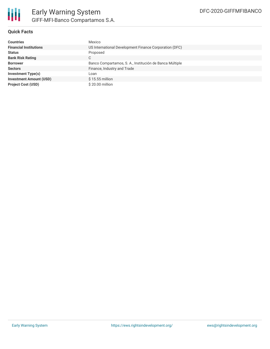

### **Quick Facts**

| <b>Countries</b>               | Mexico                                                  |
|--------------------------------|---------------------------------------------------------|
| <b>Financial Institutions</b>  | US International Development Finance Corporation (DFC)  |
| <b>Status</b>                  | Proposed                                                |
| <b>Bank Risk Rating</b>        | С                                                       |
| <b>Borrower</b>                | Banco Compartamos, S. A., Institución de Banca Múltiple |
| <b>Sectors</b>                 | Finance, Industry and Trade                             |
| Investment Type(s)             | Loan                                                    |
| <b>Investment Amount (USD)</b> | $$15.55$ million                                        |
| <b>Project Cost (USD)</b>      | \$20.00 million                                         |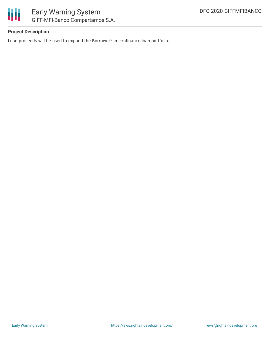

### **Project Description**

Loan proceeds will be used to expand the Borrower's microfinance loan portfolio.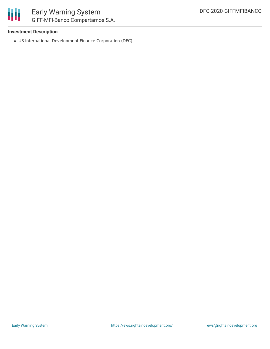

### **Investment Description**

US International Development Finance Corporation (DFC)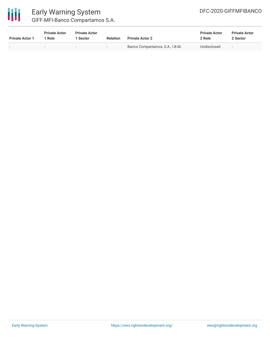

| <b>Private Actor 1</b> | <b>Private Actor</b><br>1 Role | <b>Private Actor</b><br><b>Sector</b> | <b>Relation</b>          | <b>Private Actor 2</b>          | <b>Private Actor</b><br>2 Role | <b>Private Actor</b><br>2 Sector |  |
|------------------------|--------------------------------|---------------------------------------|--------------------------|---------------------------------|--------------------------------|----------------------------------|--|
|                        |                                | . .                                   | $\overline{\phantom{0}}$ | Banco Compartamos, S.A., I.B.M. | Undisclosed                    | $\overline{\phantom{0}}$         |  |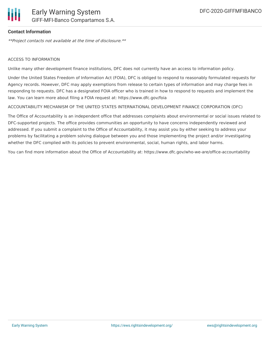

#### **Contact Information**

\*\*Project contacts not available at the time of disclosure.\*\*

#### ACCESS TO INFORMATION

Unlike many other development finance institutions, DFC does not currently have an access to information policy.

Under the United States Freedom of Information Act (FOIA), DFC is obliged to respond to reasonably formulated requests for Agency records. However, DFC may apply exemptions from release to certain types of information and may charge fees in responding to requests. DFC has a designated FOIA officer who is trained in how to respond to requests and implement the law. You can learn more about filing a FOIA request at: https://www.dfc.gov/foia

#### ACCOUNTABILITY MECHANISM OF THE UNITED STATES INTERNATIONAL DEVELOPMENT FINANCE CORPORATION (DFC)

The Office of Accountability is an independent office that addresses complaints about environmental or social issues related to DFC-supported projects. The office provides communities an opportunity to have concerns independently reviewed and addressed. If you submit a complaint to the Office of Accountability, it may assist you by either seeking to address your problems by facilitating a problem solving dialogue between you and those implementing the project and/or investigating whether the DFC complied with its policies to prevent environmental, social, human rights, and labor harms.

You can find more information about the Office of Accountability at: https://www.dfc.gov/who-we-are/office-accountability